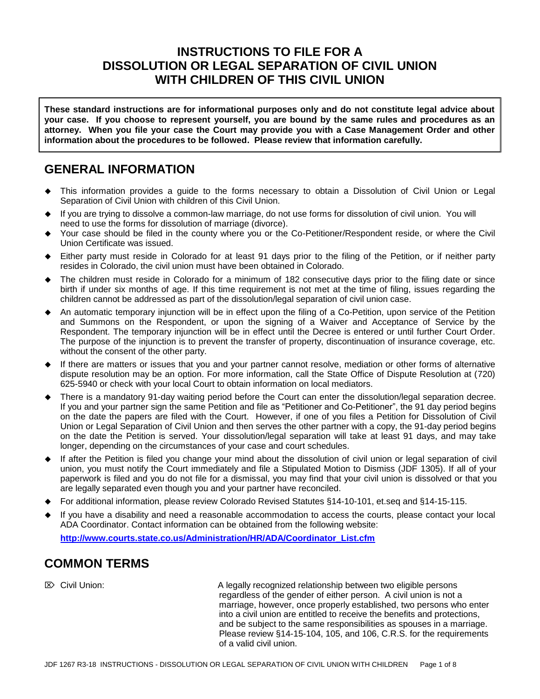## **INSTRUCTIONS TO FILE FOR A DISSOLUTION OR LEGAL SEPARATION OF CIVIL UNION WITH CHILDREN OF THIS CIVIL UNION**

**These standard instructions are for informational purposes only and do not constitute legal advice about your case. If you choose to represent yourself, you are bound by the same rules and procedures as an attorney. When you file your case the Court may provide you with a Case Management Order and other information about the procedures to be followed. Please review that information carefully.**

## **GENERAL INFORMATION**

- This information provides a guide to the forms necessary to obtain a Dissolution of Civil Union or Legal Separation of Civil Union with children of this Civil Union.
- If you are trying to dissolve a common-law marriage, do not use forms for dissolution of civil union. You will need to use the forms for dissolution of marriage (divorce).
- Your case should be filed in the county where you or the Co-Petitioner/Respondent reside, or where the Civil Union Certificate was issued.
- Either party must reside in Colorado for at least 91 days prior to the filing of the Petition, or if neither party resides in Colorado, the civil union must have been obtained in Colorado.
- The children must reside in Colorado for a minimum of 182 consecutive days prior to the filing date or since birth if under six months of age. If this time requirement is not met at the time of filing, issues regarding the children cannot be addressed as part of the dissolution/legal separation of civil union case.
- An automatic temporary injunction will be in effect upon the filing of a Co-Petition, upon service of the Petition and Summons on the Respondent, or upon the signing of a Waiver and Acceptance of Service by the Respondent. The temporary injunction will be in effect until the Decree is entered or until further Court Order. The purpose of the injunction is to prevent the transfer of property, discontinuation of insurance coverage, etc. without the consent of the other party.
- If there are matters or issues that you and your partner cannot resolve, mediation or other forms of alternative dispute resolution may be an option. For more information, call the State Office of Dispute Resolution at (720) 625-5940 or check with your local Court to obtain information on local mediators.
- There is a mandatory 91-day waiting period before the Court can enter the dissolution/legal separation decree. If you and your partner sign the same Petition and file as "Petitioner and Co-Petitioner", the 91 day period begins on the date the papers are filed with the Court. However, if one of you files a Petition for Dissolution of Civil Union or Legal Separation of Civil Union and then serves the other partner with a copy, the 91-day period begins on the date the Petition is served. Your dissolution/legal separation will take at least 91 days, and may take longer, depending on the circumstances of your case and court schedules.
- If after the Petition is filed you change your mind about the dissolution of civil union or legal separation of civil union, you must notify the Court immediately and file a Stipulated Motion to Dismiss (JDF 1305). If all of your paperwork is filed and you do not file for a dismissal, you may find that your civil union is dissolved or that you are legally separated even though you and your partner have reconciled.
- For additional information, please review Colorado Revised Statutes §14-10-101, et.seq and §14-15-115.
- If you have a disability and need a reasonable accommodation to access the courts, please contact your local ADA Coordinator. Contact information can be obtained from the following website:

**[http://www.courts.state.co.us/Administration/HR/ADA/Coordinator\\_List.cfm](http://www.courts.state.co.us/Administration/HR/ADA/Coordinator_List.cfm)**

# **COMMON TERMS**

 Civil Union: A legally recognized relationship between two eligible persons regardless of the gender of either person. A civil union is not a marriage, however, once properly established, two persons who enter into a civil union are entitled to receive the benefits and protections, and be subject to the same responsibilities as spouses in a marriage. Please review §14-15-104, 105, and 106, C.R.S. for the requirements of a valid civil union.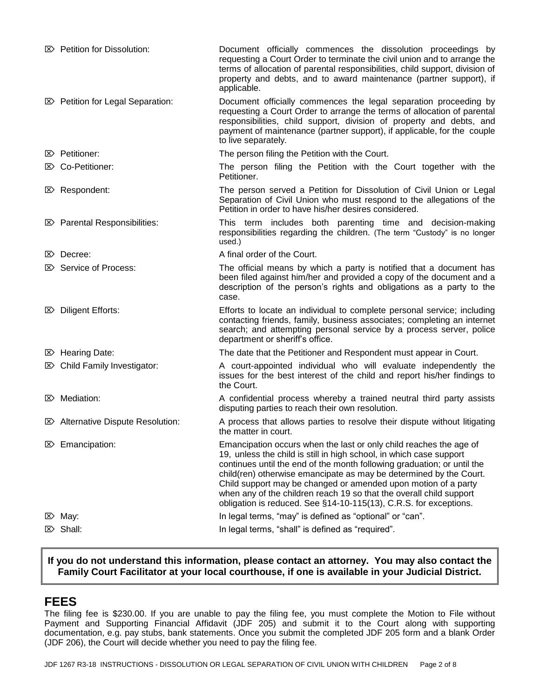| $\boxtimes$ Petition for Dissolution:        | Document officially commences the dissolution proceedings by<br>requesting a Court Order to terminate the civil union and to arrange the<br>terms of allocation of parental responsibilities, child support, division of<br>property and debts, and to award maintenance (partner support), if<br>applicable.                                                                                                                                                                                            |
|----------------------------------------------|----------------------------------------------------------------------------------------------------------------------------------------------------------------------------------------------------------------------------------------------------------------------------------------------------------------------------------------------------------------------------------------------------------------------------------------------------------------------------------------------------------|
| <b>EXP</b> Petition for Legal Separation:    | Document officially commences the legal separation proceeding by<br>requesting a Court Order to arrange the terms of allocation of parental<br>responsibilities, child support, division of property and debts, and<br>payment of maintenance (partner support), if applicable, for the couple<br>to live separately.                                                                                                                                                                                    |
| $\mathbb{Z}$ Petitioner:                     | The person filing the Petition with the Court.                                                                                                                                                                                                                                                                                                                                                                                                                                                           |
| <b>E&gt;</b> Co-Petitioner:                  | The person filing the Petition with the Court together with the<br>Petitioner.                                                                                                                                                                                                                                                                                                                                                                                                                           |
| $\mathbb{Z}$ Respondent:                     | The person served a Petition for Dissolution of Civil Union or Legal<br>Separation of Civil Union who must respond to the allegations of the<br>Petition in order to have his/her desires considered.                                                                                                                                                                                                                                                                                                    |
| $\mathbb{Z}$ Parental Responsibilities:      | This term includes both parenting time and decision-making<br>responsibilities regarding the children. (The term "Custody" is no longer<br>used.)                                                                                                                                                                                                                                                                                                                                                        |
| $\mathbb{Z}$ Decree:                         | A final order of the Court.                                                                                                                                                                                                                                                                                                                                                                                                                                                                              |
| $\mathbb{Z}$ Service of Process:             | The official means by which a party is notified that a document has<br>been filed against him/her and provided a copy of the document and a<br>description of the person's rights and obligations as a party to the<br>case.                                                                                                                                                                                                                                                                             |
| <b>E&gt;</b> Diligent Efforts:               | Efforts to locate an individual to complete personal service; including<br>contacting friends, family, business associates; completing an internet<br>search; and attempting personal service by a process server, police<br>department or sheriff's office.                                                                                                                                                                                                                                             |
| $\boxtimes$ Hearing Date:                    | The date that the Petitioner and Respondent must appear in Court.                                                                                                                                                                                                                                                                                                                                                                                                                                        |
| $\boxtimes$ Child Family Investigator:       | A court-appointed individual who will evaluate independently the<br>issues for the best interest of the child and report his/her findings to<br>the Court.                                                                                                                                                                                                                                                                                                                                               |
| $\mathbb{Z}$ Mediation:                      | A confidential process whereby a trained neutral third party assists<br>disputing parties to reach their own resolution.                                                                                                                                                                                                                                                                                                                                                                                 |
| <b>E&gt;</b> Alternative Dispute Resolution: | A process that allows parties to resolve their dispute without litigating<br>the matter in court.                                                                                                                                                                                                                                                                                                                                                                                                        |
| $\mathbb{Z}$ Emancipation:                   | Emancipation occurs when the last or only child reaches the age of<br>19, unless the child is still in high school, in which case support<br>continues until the end of the month following graduation; or until the<br>child(ren) otherwise emancipate as may be determined by the Court.<br>Child support may be changed or amended upon motion of a party<br>when any of the children reach 19 so that the overall child support<br>obligation is reduced. See §14-10-115(13), C.R.S. for exceptions. |
| $\triangleright$ May:                        | In legal terms, "may" is defined as "optional" or "can".                                                                                                                                                                                                                                                                                                                                                                                                                                                 |
| $\mathbb{Z}$ Shall:                          | In legal terms, "shall" is defined as "required".                                                                                                                                                                                                                                                                                                                                                                                                                                                        |

### **If you do not understand this information, please contact an attorney. You may also contact the Family Court Facilitator at your local courthouse, if one is available in your Judicial District.**

## **FEES**

The filing fee is \$230.00. If you are unable to pay the filing fee, you must complete the Motion to File without Payment and Supporting Financial Affidavit (JDF 205) and submit it to the Court along with supporting documentation, e.g. pay stubs, bank statements. Once you submit the completed JDF 205 form and a blank Order (JDF 206), the Court will decide whether you need to pay the filing fee.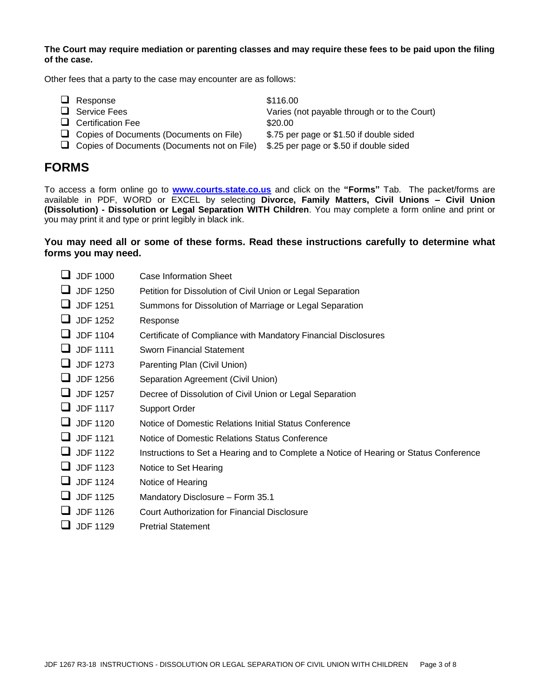**The Court may require mediation or parenting classes and may require these fees to be paid upon the filing of the case.**

Other fees that a party to the case may encounter are as follows:

| $\Box$ Response                                    | \$116.00                                     |
|----------------------------------------------------|----------------------------------------------|
| $\Box$ Service Fees                                | Varies (not payable through or to the Court) |
| $\Box$ Certification Fee                           | \$20.00                                      |
| $\Box$ Copies of Documents (Documents on File)     | \$.75 per page or \$1.50 if double sided     |
| $\Box$ Copies of Documents (Documents not on File) | \$.25 per page or \$.50 if double sided      |

## **FORMS**

To access a form online go to **[www.courts.state.co.us](http://www.courts.state.co.us/)** and click on the **"Forms"** Tab. The packet/forms are available in PDF, WORD or EXCEL by selecting **Divorce, Family Matters, Civil Unions – Civil Union (Dissolution) - Dissolution or Legal Separation WITH Children**. You may complete a form online and print or you may print it and type or print legibly in black ink.

### **You may need all or some of these forms. Read these instructions carefully to determine what forms you may need.**

| <b>JDF 1000</b> | Case Information Sheet                                                                 |
|-----------------|----------------------------------------------------------------------------------------|
| <b>JDF 1250</b> | Petition for Dissolution of Civil Union or Legal Separation                            |
| <b>JDF 1251</b> | Summons for Dissolution of Marriage or Legal Separation                                |
| JDF 1252        | Response                                                                               |
| <b>JDF 1104</b> | Certificate of Compliance with Mandatory Financial Disclosures                         |
| <b>JDF 1111</b> | <b>Sworn Financial Statement</b>                                                       |
| <b>JDF 1273</b> | Parenting Plan (Civil Union)                                                           |
| <b>JDF 1256</b> | Separation Agreement (Civil Union)                                                     |
| <b>JDF 1257</b> | Decree of Dissolution of Civil Union or Legal Separation                               |
| <b>JDF 1117</b> | <b>Support Order</b>                                                                   |
| <b>JDF 1120</b> | Notice of Domestic Relations Initial Status Conference                                 |
| <b>JDF 1121</b> | Notice of Domestic Relations Status Conference                                         |
| <b>JDF 1122</b> | Instructions to Set a Hearing and to Complete a Notice of Hearing or Status Conference |
| <b>JDF 1123</b> | Notice to Set Hearing                                                                  |
| <b>JDF 1124</b> | Notice of Hearing                                                                      |
| <b>JDF 1125</b> | Mandatory Disclosure - Form 35.1                                                       |
| <b>JDF 1126</b> | Court Authorization for Financial Disclosure                                           |
| <b>JDF 1129</b> | <b>Pretrial Statement</b>                                                              |
|                 |                                                                                        |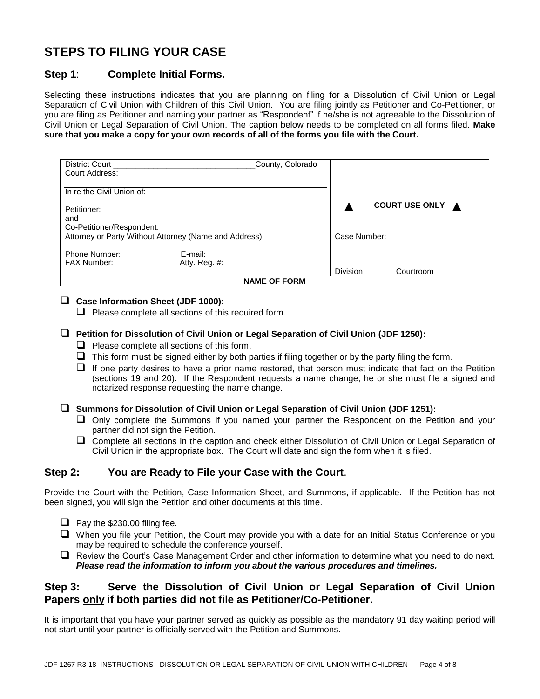# **STEPS TO FILING YOUR CASE**

### **Step 1**: **Complete Initial Forms.**

Selecting these instructions indicates that you are planning on filing for a Dissolution of Civil Union or Legal Separation of Civil Union with Children of this Civil Union. You are filing jointly as Petitioner and Co-Petitioner, or you are filing as Petitioner and naming your partner as "Respondent" if he/she is not agreeable to the Dissolution of Civil Union or Legal Separation of Civil Union. The caption below needs to be completed on all forms filed. **Make sure that you make a copy for your own records of all of the forms you file with the Court.**

| District Court<br>Court Address:                       | County, Colorado |                 |                  |  |  |  |
|--------------------------------------------------------|------------------|-----------------|------------------|--|--|--|
| In re the Civil Union of:                              |                  |                 |                  |  |  |  |
| Petitioner:                                            |                  |                 | COURT USE ONLY A |  |  |  |
| and                                                    |                  |                 |                  |  |  |  |
| Co-Petitioner/Respondent:                              |                  |                 |                  |  |  |  |
| Attorney or Party Without Attorney (Name and Address): |                  |                 | Case Number:     |  |  |  |
| Phone Number:                                          | E-mail:          |                 |                  |  |  |  |
| <b>FAX Number:</b>                                     | Atty. Reg. $#$ : |                 |                  |  |  |  |
|                                                        |                  | <b>Division</b> | Courtroom        |  |  |  |
| <b>NAME OF FORM</b>                                    |                  |                 |                  |  |  |  |

### **Case Information Sheet (JDF 1000):**

 $\Box$  Please complete all sections of this required form.

### **Petition for Dissolution of Civil Union or Legal Separation of Civil Union (JDF 1250):**

- $\Box$  Please complete all sections of this form.
- $\Box$  This form must be signed either by both parties if filing together or by the party filing the form.
- $\Box$  If one party desires to have a prior name restored, that person must indicate that fact on the Petition (sections 19 and 20). If the Respondent requests a name change, he or she must file a signed and notarized response requesting the name change.

**Summons for Dissolution of Civil Union or Legal Separation of Civil Union (JDF 1251):**

- Only complete the Summons if you named your partner the Respondent on the Petition and your partner did not sign the Petition.
- □ Complete all sections in the caption and check either Dissolution of Civil Union or Legal Separation of Civil Union in the appropriate box. The Court will date and sign the form when it is filed.

### **Step 2: You are Ready to File your Case with the Court**.

Provide the Court with the Petition, Case Information Sheet, and Summons, if applicable. If the Petition has not been signed, you will sign the Petition and other documents at this time.

- $\Box$  Pay the \$230.00 filing fee.
- When you file your Petition, the Court may provide you with a date for an Initial Status Conference or you may be required to schedule the conference yourself.
- Review the Court's Case Management Order and other information to determine what you need to do next. *Please read the information to inform you about the various procedures and timelines.*

### **Step 3: Serve the Dissolution of Civil Union or Legal Separation of Civil Union Papers only if both parties did not file as Petitioner/Co-Petitioner.**

It is important that you have your partner served as quickly as possible as the mandatory 91 day waiting period will not start until your partner is officially served with the Petition and Summons.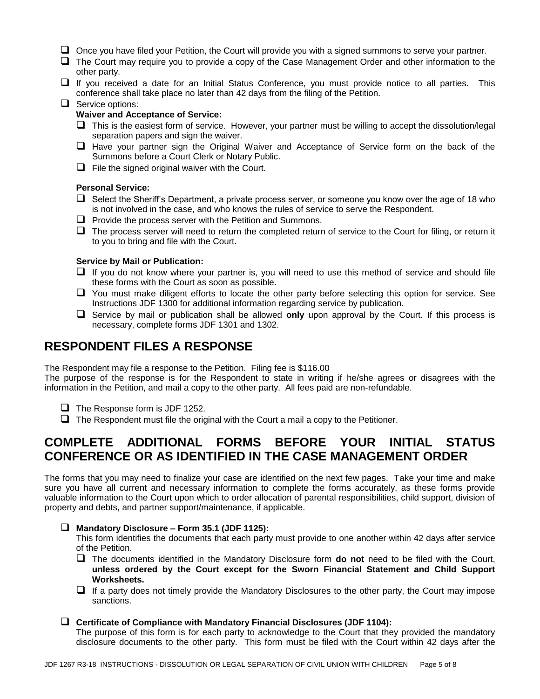- $\Box$  Once you have filed your Petition, the Court will provide you with a signed summons to serve your partner.
- The Court may require you to provide a copy of the Case Management Order and other information to the other party.
- $\Box$  If you received a date for an Initial Status Conference, you must provide notice to all parties. This conference shall take place no later than 42 days from the filing of the Petition.

#### $\Box$  Service options:

#### **Waiver and Acceptance of Service:**

- $\Box$  This is the easiest form of service. However, your partner must be willing to accept the dissolution/legal separation papers and sign the waiver.
- $\Box$  Have your partner sign the Original Waiver and Acceptance of Service form on the back of the Summons before a Court Clerk or Notary Public.
- $\Box$  File the signed original waiver with the Court.

#### **Personal Service:**

- $\Box$  Select the Sheriff's Department, a private process server, or someone you know over the age of 18 who is not involved in the case, and who knows the rules of service to serve the Respondent.
- $\Box$  Provide the process server with the Petition and Summons.
- $\Box$  The process server will need to return the completed return of service to the Court for filing, or return it to you to bring and file with the Court.

#### **Service by Mail or Publication:**

- $\Box$  If you do not know where your partner is, you will need to use this method of service and should file these forms with the Court as soon as possible.
- $\Box$  You must make diligent efforts to locate the other party before selecting this option for service. See Instructions JDF 1300 for additional information regarding service by publication.
- Service by mail or publication shall be allowed **only** upon approval by the Court. If this process is necessary, complete forms JDF 1301 and 1302.

### **RESPONDENT FILES A RESPONSE**

The Respondent may file a response to the Petition. Filing fee is \$116.00

The purpose of the response is for the Respondent to state in writing if he/she agrees or disagrees with the information in the Petition, and mail a copy to the other party. All fees paid are non-refundable.

- $\Box$  The Response form is JDF 1252.
- $\Box$  The Respondent must file the original with the Court a mail a copy to the Petitioner.

## **COMPLETE ADDITIONAL FORMS BEFORE YOUR INITIAL STATUS CONFERENCE OR AS IDENTIFIED IN THE CASE MANAGEMENT ORDER**

The forms that you may need to finalize your case are identified on the next few pages. Take your time and make sure you have all current and necessary information to complete the forms accurately, as these forms provide valuable information to the Court upon which to order allocation of parental responsibilities, child support, division of property and debts, and partner support/maintenance, if applicable.

#### **Mandatory Disclosure – Form 35.1 (JDF 1125):**

This form identifies the documents that each party must provide to one another within 42 days after service of the Petition.

- The documents identified in the Mandatory Disclosure form **do not** need to be filed with the Court, **unless ordered by the Court except for the Sworn Financial Statement and Child Support Worksheets.**
- $\Box$  If a party does not timely provide the Mandatory Disclosures to the other party, the Court may impose sanctions.

#### **Certificate of Compliance with Mandatory Financial Disclosures (JDF 1104):**

The purpose of this form is for each party to acknowledge to the Court that they provided the mandatory disclosure documents to the other party. This form must be filed with the Court within 42 days after the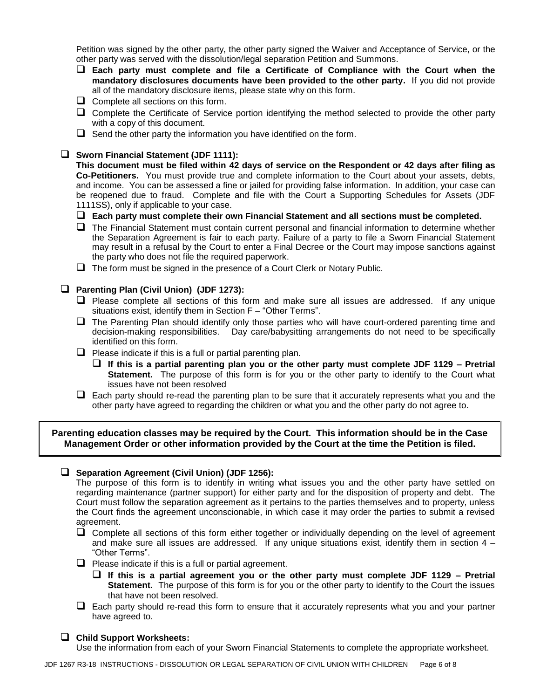Petition was signed by the other party, the other party signed the Waiver and Acceptance of Service, or the other party was served with the dissolution/legal separation Petition and Summons.

- **Each party must complete and file a Certificate of Compliance with the Court when the mandatory disclosures documents have been provided to the other party.** If you did not provide all of the mandatory disclosure items, please state why on this form.
- $\Box$  Complete all sections on this form.
- Complete the Certificate of Service portion identifying the method selected to provide the other party with a copy of this document.
- $\Box$  Send the other party the information you have identified on the form.

#### **Sworn Financial Statement (JDF 1111):**

**This document must be filed within 42 days of service on the Respondent or 42 days after filing as Co-Petitioners.** You must provide true and complete information to the Court about your assets, debts, and income. You can be assessed a fine or jailed for providing false information. In addition, your case can be reopened due to fraud. Complete and file with the Court a Supporting Schedules for Assets (JDF 1111SS), only if applicable to your case.

- **Each party must complete their own Financial Statement and all sections must be completed.**
- The Financial Statement must contain current personal and financial information to determine whether the Separation Agreement is fair to each party. Failure of a party to file a Sworn Financial Statement may result in a refusal by the Court to enter a Final Decree or the Court may impose sanctions against the party who does not file the required paperwork.
- $\Box$  The form must be signed in the presence of a Court Clerk or Notary Public.

#### **Parenting Plan (Civil Union) (JDF 1273):**

- $\Box$  Please complete all sections of this form and make sure all issues are addressed. If any unique situations exist, identify them in Section F – "Other Terms".
- $\Box$  The Parenting Plan should identify only those parties who will have court-ordered parenting time and decision-making responsibilities. Day care/babysitting arrangements do not need to be specifically identified on this form.
- $\Box$  Please indicate if this is a full or partial parenting plan.
	- **If this is a partial parenting plan you or the other party must complete JDF 1129 – Pretrial Statement.** The purpose of this form is for you or the other party to identify to the Court what issues have not been resolved
- $\Box$  Each party should re-read the parenting plan to be sure that it accurately represents what you and the other party have agreed to regarding the children or what you and the other party do not agree to.

**Parenting education classes may be required by the Court. This information should be in the Case Management Order or other information provided by the Court at the time the Petition is filed.**

#### **Separation Agreement (Civil Union) (JDF 1256):**

The purpose of this form is to identify in writing what issues you and the other party have settled on regarding maintenance (partner support) for either party and for the disposition of property and debt. The Court must follow the separation agreement as it pertains to the parties themselves and to property, unless the Court finds the agreement unconscionable, in which case it may order the parties to submit a revised agreement.

- $\Box$  Complete all sections of this form either together or individually depending on the level of agreement and make sure all issues are addressed. If any unique situations exist, identify them in section  $4 -$ "Other Terms".
- $\Box$  Please indicate if this is a full or partial agreement.
	- **If this is a partial agreement you or the other party must complete JDF 1129 – Pretrial Statement.** The purpose of this form is for you or the other party to identify to the Court the issues that have not been resolved.
- $\Box$  Each party should re-read this form to ensure that it accurately represents what you and your partner have agreed to.

#### **Child Support Worksheets:**

Use the information from each of your Sworn Financial Statements to complete the appropriate worksheet.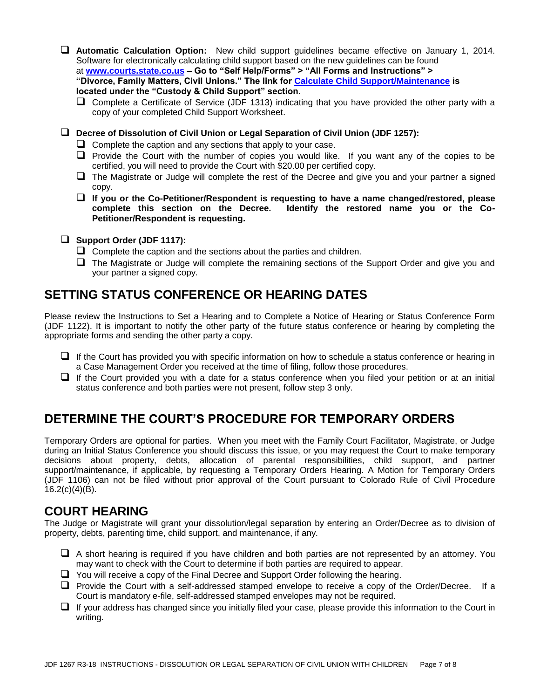**Automatic Calculation Option:** New child support guidelines became effective on January 1, 2014. Software for electronically calculating child support based on the new guidelines can be found at **[www.courts.state.co.us](http://www.courts.state.co.us/) – Go to "Self Help/Forms" > "All Forms and Instructions" > "Divorce, Family Matters, Civil Unions." The link for [Calculate Child Support/Maintenance](https://www.courts.state.co.us/Forms/Forms_List.cfm?Form_Type_ID=94) is located under the "Custody & Child Support" section.**

□ Complete a Certificate of Service (JDF 1313) indicating that you have provided the other party with a copy of your completed Child Support Worksheet.

**Decree of Dissolution of Civil Union or Legal Separation of Civil Union (JDF 1257):**

- $\Box$  Complete the caption and any sections that apply to your case.
- $\Box$  Provide the Court with the number of copies you would like. If you want any of the copies to be certified, you will need to provide the Court with \$20.00 per certified copy.
- $\Box$  The Magistrate or Judge will complete the rest of the Decree and give you and your partner a signed copy.
- **If you or the Co-Petitioner/Respondent is requesting to have a name changed/restored, please complete this section on the Decree. Identify the restored name you or the Co-Petitioner/Respondent is requesting.**
- **Support Order (JDF 1117):**
	- $\Box$  Complete the caption and the sections about the parties and children.
	- $\Box$  The Magistrate or Judge will complete the remaining sections of the Support Order and give you and your partner a signed copy.

# **SETTING STATUS CONFERENCE OR HEARING DATES**

Please review the Instructions to Set a Hearing and to Complete a Notice of Hearing or Status Conference Form (JDF 1122). It is important to notify the other party of the future status conference or hearing by completing the appropriate forms and sending the other party a copy.

- $\Box$  If the Court has provided you with specific information on how to schedule a status conference or hearing in a Case Management Order you received at the time of filing, follow those procedures.
- $\Box$  If the Court provided you with a date for a status conference when you filed your petition or at an initial status conference and both parties were not present, follow step 3 only.

## **DETERMINE THE COURT'S PROCEDURE FOR TEMPORARY ORDERS**

Temporary Orders are optional for parties. When you meet with the Family Court Facilitator, Magistrate, or Judge during an Initial Status Conference you should discuss this issue, or you may request the Court to make temporary decisions about property, debts, allocation of parental responsibilities, child support, and partner support/maintenance, if applicable, by requesting a Temporary Orders Hearing. A Motion for Temporary Orders (JDF 1106) can not be filed without prior approval of the Court pursuant to Colorado Rule of Civil Procedure  $16.2(c)(4)(B)$ .

## **COURT HEARING**

The Judge or Magistrate will grant your dissolution/legal separation by entering an Order/Decree as to division of property, debts, parenting time, child support, and maintenance, if any.

- $\Box$  A short hearing is required if you have children and both parties are not represented by an attorney. You may want to check with the Court to determine if both parties are required to appear.
- $\Box$  You will receive a copy of the Final Decree and Support Order following the hearing.
- $\Box$  Provide the Court with a self-addressed stamped envelope to receive a copy of the Order/Decree. If a Court is mandatory e-file, self-addressed stamped envelopes may not be required.
- $\Box$  If your address has changed since you initially filed your case, please provide this information to the Court in writing.